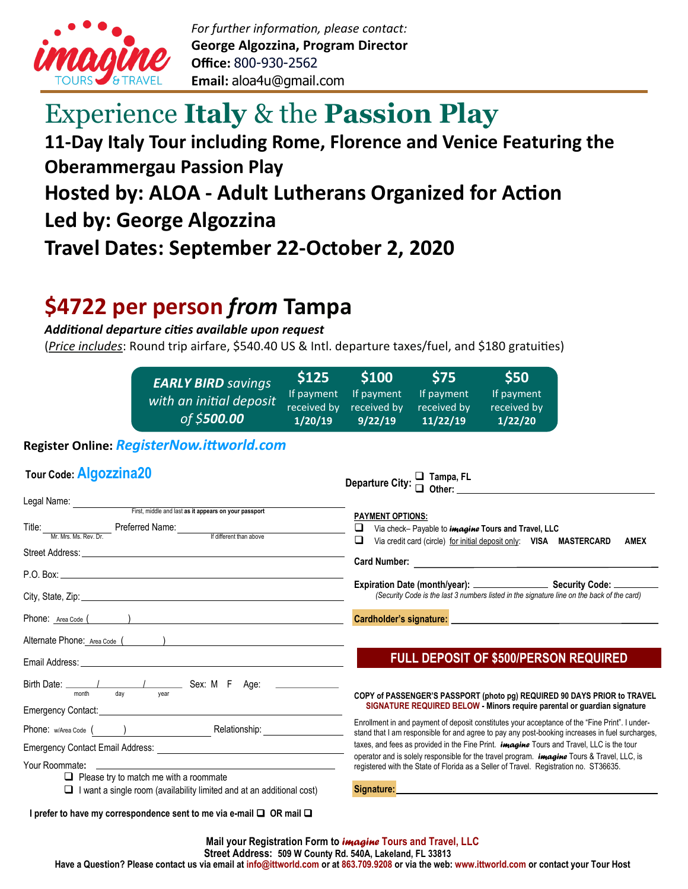

# Experience **Italy** & the **Passion Play**

## **11-Day Italy Tour including Rome, Florence and Venice Featuring the Oberammergau Passion Play Hosted by: ALOA - Adult Lutherans Organized for Action Led by: George Algozzina Travel Dates: September 22-October 2, 2020**

## **\$4722 per person** *from* **Tampa**

*Additional departure cities available upon request*

(*Price includes*: Round trip airfare, \$540.40 US & Intl. departure taxes/fuel, and \$180 gratuities)

| <b>EARLY BIRD savings</b><br>with an initial deposit<br>of \$ <b>500.00</b> | <b>S125</b><br>If payment<br>received by<br>1/20/19 | <b>\$100</b><br>If payment<br>received by<br>9/22/19 | <b>S75</b><br>If payment<br>received by<br>11/22/19 | \$50<br>If payment<br>received by<br>1/22/20 |
|-----------------------------------------------------------------------------|-----------------------------------------------------|------------------------------------------------------|-----------------------------------------------------|----------------------------------------------|
|-----------------------------------------------------------------------------|-----------------------------------------------------|------------------------------------------------------|-----------------------------------------------------|----------------------------------------------|

## **Register Online:** *RegisterNow.ittworld.com*

| Tour Code: Algozzina20                                                                                                                                                                                         |                                                                                                                                                                                                                                                                                                                         |
|----------------------------------------------------------------------------------------------------------------------------------------------------------------------------------------------------------------|-------------------------------------------------------------------------------------------------------------------------------------------------------------------------------------------------------------------------------------------------------------------------------------------------------------------------|
|                                                                                                                                                                                                                | <b>PAYMENT OPTIONS:</b>                                                                                                                                                                                                                                                                                                 |
| Title: <u>Mr. Mrs. Ms. Rev. Dr. Preferred Name: retries and the different than above for Mrs. Ms. Rev. Dr. Norse and the different than above</u>                                                              | ❏<br>Via check-Payable to <i>imagine</i> Tours and Travel, LLC<br>❏<br>Via credit card (circle) for initial deposit only: VISA MASTERCARD<br><b>AMEX</b>                                                                                                                                                                |
|                                                                                                                                                                                                                |                                                                                                                                                                                                                                                                                                                         |
|                                                                                                                                                                                                                | (Security Code is the last 3 numbers listed in the signature line on the back of the card)                                                                                                                                                                                                                              |
|                                                                                                                                                                                                                |                                                                                                                                                                                                                                                                                                                         |
|                                                                                                                                                                                                                |                                                                                                                                                                                                                                                                                                                         |
|                                                                                                                                                                                                                | <b>FULL DEPOSIT OF \$500/PERSON REQUIRED</b>                                                                                                                                                                                                                                                                            |
| Birth Date: 1 1 1 1 1 1 1 1 1 2 Sex: M F Age:<br>dav<br>month<br>vear<br>Emergency Contact: <u>Contactive Contactive Contactive Contactive</u> Contactive Contactive Contactive Contactive Cont                | COPY of PASSENGER'S PASSPORT (photo pg) REQUIRED 90 DAYS PRIOR to TRAVEL<br>SIGNATURE REQUIRED BELOW - Minors require parental or guardian signature                                                                                                                                                                    |
| Phone: w/Area Code ( ) Relationship: Relationship:                                                                                                                                                             | Enrollment in and payment of deposit constitutes your acceptance of the "Fine Print". I under-<br>stand that I am responsible for and agree to pay any post-booking increases in fuel surcharges,                                                                                                                       |
|                                                                                                                                                                                                                | taxes, and fees as provided in the Fine Print. <i>imagine</i> Tours and Travel, LLC is the tour<br>operator and is solely responsible for the travel program. <i>imagine</i> Tours & Travel, LLC, is                                                                                                                    |
| Your Roommate:<br><u> 1980 - Johann Stoff, amerikansk politiker (d. 1980)</u><br>$\Box$ Please try to match me with a roommate<br>$\Box$ I want a single room (availability limited and at an additional cost) | registered with the State of Florida as a Seller of Travel. Registration no. ST36635.<br>Signature: Note: Note: Note: Note: Note: Note: Note: Note: Note: Note: Note: Note: Note: Note: Note: Note: Note: Note: Note: Note: Note: Note: Note: Note: Note: Note: Note: Note: Note: Note: Note: Note: Note: Note: Note: N |
| I prefer to have my correspondence sent to me via e-mail $\Box$ OR mail $\Box$                                                                                                                                 |                                                                                                                                                                                                                                                                                                                         |